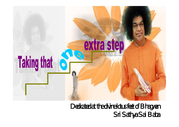

Dedicated at the divine lotus feet of Bhagwan Sri Sathya Sai Baba Sri Sathya Sai BabaDedicated at the divine lotus feet of Bhagwan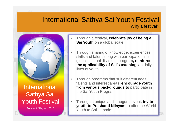# International Sathya Sai Youth Festival Why a festival?



- Through a festival, **celebrate joy of being a Sai Youth** on a global scale
	- Through sharing of knowledge, experiences, skills and talent along with participation in a global spiritual discipline program**, reinforce the applicability of Sai's teachings** in daily lives of youth
- Through programs that suit different ages, talents and interest areas, **encourage youth from various backgrounds to** participate in the Sai Youth Program
- Dedicated at the divine lotus feet of Bhagwan Sri Sai Babago at the divine lotus feet of Bhagwan Sri Sai Babago • Through a unique and inaugural event, **invite youth to Prashanti Nilayam** to offer the World Youth to Sai's abode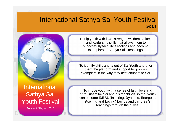## International Sathya Sai Youth Festival Goals

Dedicated at the divine lotus feet of Bhagwan Sri Sai Babaa Sai Babaa Sai Babaa Sai Babaa Sai Babaa Sai Babaa Sa



Prashanti Nilayam 2016

Equip youth with love, strength, wisdom, values and leadership skills that allows them to successfully face life's realities and become exemplars of Sathya Sai's teachings.

To identify skills and talent of Sai Youth and offer them the platform and support to grow as exemplars in the way they best connect to Sai.

To imbue youth with a sense of faith, love and enthusiasm for Sai and his teachings so that youth can become **IDEAL** (**I**nspiring, **D**ynamic, **E**nergetic, **A**spiring and **L**oving) beings and carry Sai's teachings through their lives.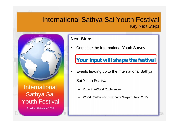# International Sathya Sai Youth Festival Key Next Steps



#### **Next Steps**

• Complete the International Youth Survey

# **Your input will shape the festival**

• Events leading up to the International Sathya

Sai Youth Fesitval

- Zone Pre-World Conferences
- World Conference, Prashanti Nilayam, Nov, 2015